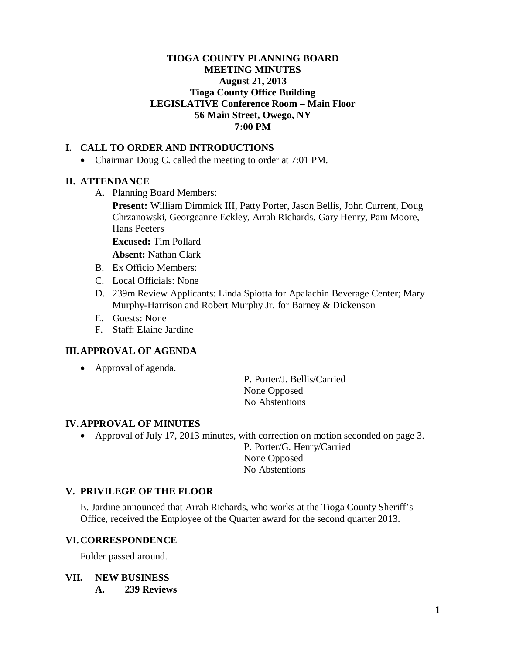#### **TIOGA COUNTY PLANNING BOARD MEETING MINUTES August 21, 2013 Tioga County Office Building LEGISLATIVE Conference Room – Main Floor 56 Main Street, Owego, NY 7:00 PM**

## **I. CALL TO ORDER AND INTRODUCTIONS**

• Chairman Doug C. called the meeting to order at 7:01 PM.

## **II. ATTENDANCE**

A. Planning Board Members:

**Present:** William Dimmick III, Patty Porter, Jason Bellis, John Current, Doug Chrzanowski, Georgeanne Eckley, Arrah Richards, Gary Henry, Pam Moore, Hans Peeters

**Excused:** Tim Pollard

**Absent:** Nathan Clark

- B. Ex Officio Members:
- C. Local Officials: None
- D. 239m Review Applicants: Linda Spiotta for Apalachin Beverage Center; Mary Murphy-Harrison and Robert Murphy Jr. for Barney & Dickenson
- E. Guests: None
- F. Staff: Elaine Jardine

## **III.APPROVAL OF AGENDA**

• Approval of agenda.

P. Porter/J. Bellis/Carried None Opposed No Abstentions

#### **IV. APPROVAL OF MINUTES**

• Approval of July 17, 2013 minutes, with correction on motion seconded on page 3.

P. Porter/G. Henry/Carried None Opposed No Abstentions

## **V. PRIVILEGE OF THE FLOOR**

E. Jardine announced that Arrah Richards, who works at the Tioga County Sheriff's Office, received the Employee of the Quarter award for the second quarter 2013.

## **VI. CORRESPONDENCE**

Folder passed around.

## **VII. NEW BUSINESS**

**A. 239 Reviews**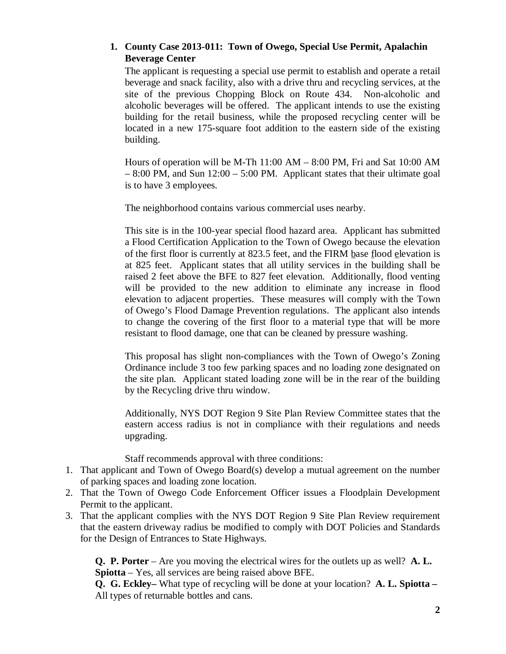# **1. County Case 2013-011: Town of Owego, Special Use Permit, Apalachin Beverage Center**

The applicant is requesting a special use permit to establish and operate a retail beverage and snack facility, also with a drive thru and recycling services, at the site of the previous Chopping Block on Route 434. Non-alcoholic and alcoholic beverages will be offered. The applicant intends to use the existing building for the retail business, while the proposed recycling center will be located in a new 175-square foot addition to the eastern side of the existing building.

Hours of operation will be M-Th 11:00 AM – 8:00 PM, Fri and Sat 10:00 AM – 8:00 PM, and Sun 12:00 – 5:00 PM. Applicant states that their ultimate goal is to have 3 employees.

The neighborhood contains various commercial uses nearby.

This site is in the 100-year special flood hazard area. Applicant has submitted a Flood Certification Application to the Town of Owego because the elevation of the first floor is currently at 823.5 feet, and the FIRM base flood elevation is at 825 feet. Applicant states that all utility services in the building shall be raised 2 feet above the BFE to 827 feet elevation. Additionally, flood venting will be provided to the new addition to eliminate any increase in flood elevation to adjacent properties. These measures will comply with the Town of Owego's Flood Damage Prevention regulations. The applicant also intends to change the covering of the first floor to a material type that will be more resistant to flood damage, one that can be cleaned by pressure washing.

This proposal has slight non-compliances with the Town of Owego's Zoning Ordinance include 3 too few parking spaces and no loading zone designated on the site plan. Applicant stated loading zone will be in the rear of the building by the Recycling drive thru window.

Additionally, NYS DOT Region 9 Site Plan Review Committee states that the eastern access radius is not in compliance with their regulations and needs upgrading.

Staff recommends approval with three conditions:

- 1. That applicant and Town of Owego Board(s) develop a mutual agreement on the number of parking spaces and loading zone location.
- 2. That the Town of Owego Code Enforcement Officer issues a Floodplain Development Permit to the applicant.
- 3. That the applicant complies with the NYS DOT Region 9 Site Plan Review requirement that the eastern driveway radius be modified to comply with DOT Policies and Standards for the Design of Entrances to State Highways.

**Q. P. Porter** – Are you moving the electrical wires for the outlets up as well? **A. L. Spiotta** – Yes, all services are being raised above BFE.

**Q. G. Eckley–** What type of recycling will be done at your location? **A. L. Spiotta –** All types of returnable bottles and cans.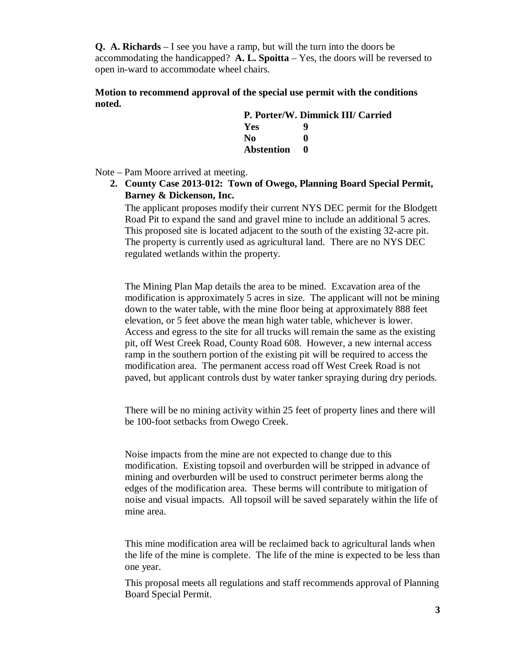**Q. A. Richards** – I see you have a ramp, but will the turn into the doors be accommodating the handicapped? **A. L. Spoitta** – Yes, the doors will be reversed to open in-ward to accommodate wheel chairs.

#### **Motion to recommend approval of the special use permit with the conditions noted.**

| P. Porter/W. Dimmick III/ Carried |   |  |
|-----------------------------------|---|--|
| <b>Yes</b>                        | g |  |
| No.                               |   |  |
| Abstention                        |   |  |

Note – Pam Moore arrived at meeting.

**2. County Case 2013-012: Town of Owego, Planning Board Special Permit, Barney & Dickenson, Inc.**

The applicant proposes modify their current NYS DEC permit for the Blodgett Road Pit to expand the sand and gravel mine to include an additional 5 acres. This proposed site is located adjacent to the south of the existing 32-acre pit. The property is currently used as agricultural land. There are no NYS DEC regulated wetlands within the property.

The Mining Plan Map details the area to be mined. Excavation area of the modification is approximately 5 acres in size. The applicant will not be mining down to the water table, with the mine floor being at approximately 888 feet elevation, or 5 feet above the mean high water table, whichever is lower. Access and egress to the site for all trucks will remain the same as the existing pit, off West Creek Road, County Road 608. However, a new internal access ramp in the southern portion of the existing pit will be required to access the modification area. The permanent access road off West Creek Road is not paved, but applicant controls dust by water tanker spraying during dry periods.

There will be no mining activity within 25 feet of property lines and there will be 100-foot setbacks from Owego Creek.

Noise impacts from the mine are not expected to change due to this modification. Existing topsoil and overburden will be stripped in advance of mining and overburden will be used to construct perimeter berms along the edges of the modification area. These berms will contribute to mitigation of noise and visual impacts. All topsoil will be saved separately within the life of mine area.

This mine modification area will be reclaimed back to agricultural lands when the life of the mine is complete. The life of the mine is expected to be less than one year.

This proposal meets all regulations and staff recommends approval of Planning Board Special Permit.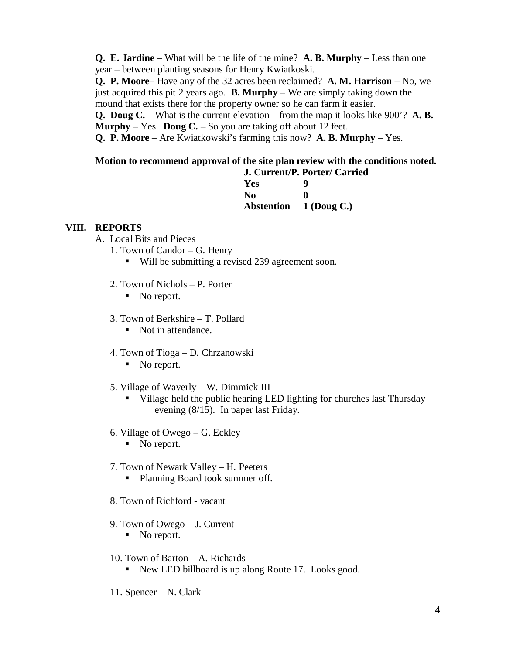**Q. E. Jardine** – What will be the life of the mine? **A. B. Murphy** – Less than one year – between planting seasons for Henry Kwiatkoski.

**Q. P. Moore–** Have any of the 32 acres been reclaimed? **A. M. Harrison –** No, we just acquired this pit 2 years ago. **B. Murphy** – We are simply taking down the mound that exists there for the property owner so he can farm it easier.

**Q. Doug C.** – What is the current elevation – from the map it looks like 900'? **A. B. Murphy** – Yes. **Doug C.** – So you are taking off about 12 feet.

**Q. P. Moore** – Are Kwiatkowski's farming this now? **A. B. Murphy** – Yes.

# **Motion to recommend approval of the site plan review with the conditions noted.**

|                | J. Current/P. Porter/ Carried |
|----------------|-------------------------------|
| Yes            | Q                             |
| N <sub>0</sub> | o                             |
|                | Abstention 1 (Doug C.)        |

## **VIII. REPORTS**

- A. Local Bits and Pieces
	- 1. Town of Candor G. Henry
		- Will be submitting a revised 239 agreement soon.
	- 2. Town of Nichols P. Porter
		- No report.
	- 3. Town of Berkshire T. Pollard
		- Not in attendance.
	- 4. Town of Tioga D. Chrzanowski
		- No report.
	- 5. Village of Waverly W. Dimmick III
		- Village held the public hearing LED lighting for churches last Thursday evening (8/15). In paper last Friday.
	- 6. Village of Owego G. Eckley
		- No report.
	- 7. Town of Newark Valley H. Peeters
		- Planning Board took summer off.
	- 8. Town of Richford vacant
	- 9. Town of Owego J. Current
		- No report.
	- 10. Town of Barton A. Richards
		- New LED billboard is up along Route 17. Looks good.
	- 11. Spencer N. Clark